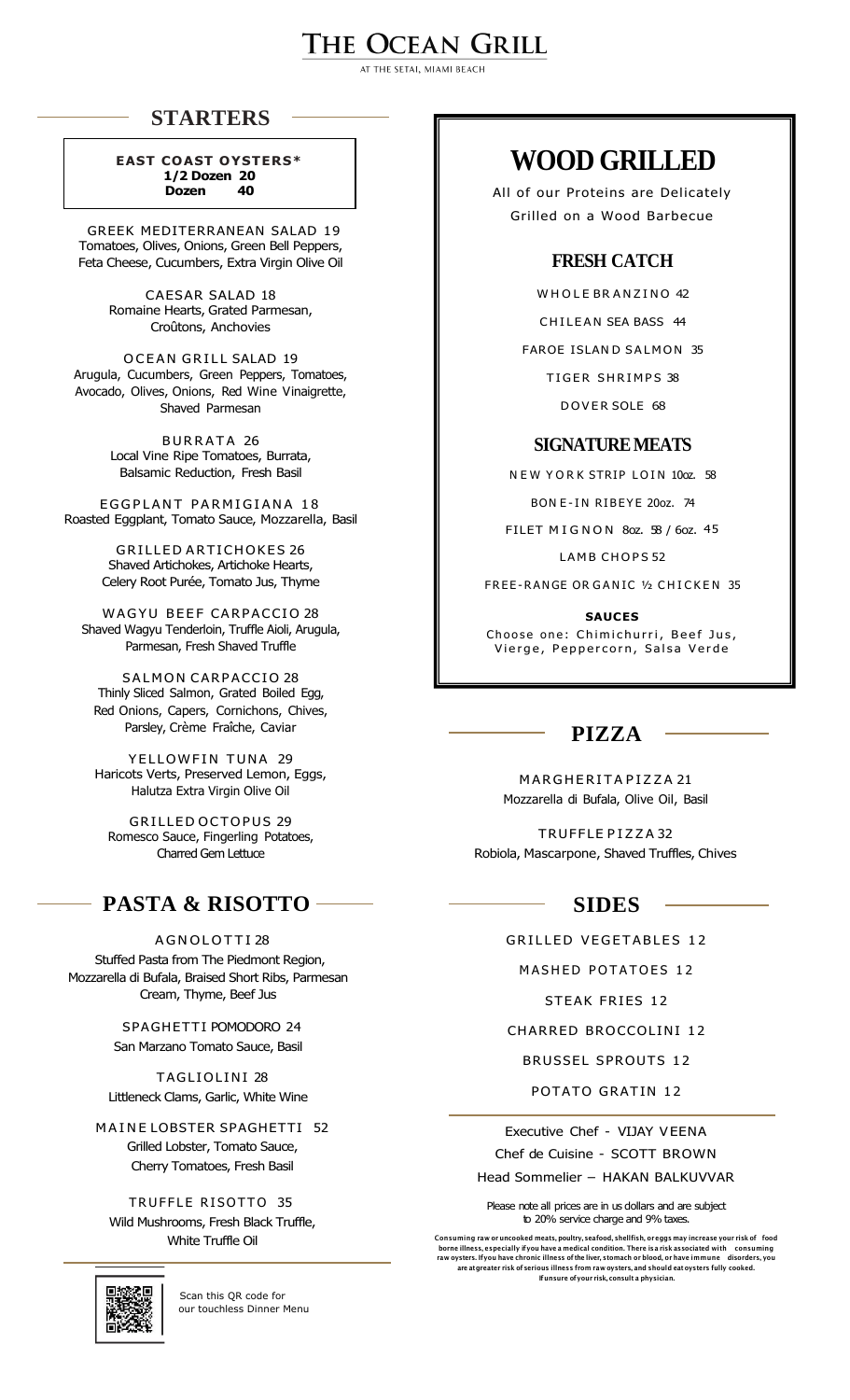# THE OCEAN GRILL

AT THE SETAL MIAMI BEACH

## **STARTERS**

**EAST COAST OYSTERS\* 1/2 Dozen 20 Dozen 40**

GREEK MEDITERRANEAN SALAD 19 Tomatoes, Olives, Onions, Green Bell Peppers, Feta Cheese, Cucumbers, Extra Virgin Olive Oil

> CAESAR SALAD 18 Romaine Hearts, Grated Parmesan, Croûtons, Anchovies

OCEAN GRILL SALAD 19 Arugula, Cucumbers, Green Peppers, Tomatoes, Avocado, Olives, Onions, Red Wine Vinaigrette, Shaved Parmesan

> BURRATA 26 Local Vine Ripe Tomatoes, Burrata, Balsamic Reduction, Fresh Basil

EGGPLANT PARMIGIANA 18 Roasted Eggplant, Tomato Sauce, Mozzarella, Basil

> **GRILLED ARTICHOKES 26** Shaved Artichokes, Artichoke Hearts, Celery Root Purée, Tomato Jus, Thyme

WAGYU BEEF CARPACCIO 28 Shaved Wagyu Tenderloin, Truffle Aioli, Arugula, Parmesan, Fresh Shaved Truffle

**SALMON CARPACCIO 28** Thinly Sliced Salmon, Grated Boiled Egg, Red Onions, Capers, Cornichons, Chives, Parsley, Crème Fraîche, Caviar

YELLOWFIN TUNA 29 Haricots Verts, Preserved Lemon, Eggs, Halutza Extra Virgin Olive Oil

GRILLED OCTOPUS 29 Romesco Sauce, Fingerling Potatoes, Charred Gem Lettuce

## **PASTA & RISOTTO**

A G N O LOTTI 28 Stuffed Pasta from The Piedmont Region, Mozzarella di Bufala, Braised Short Ribs, Parmesan Cream, Thyme, Beef Jus

> SPAGHETTI POMODORO 24 San Marzano Tomato Sauce, Basil

TAGLIOLINI 28 Littleneck Clams, Garlic, White Wine

MAINE LOBSTER SPAGHETTI 52 Grilled Lobster, Tomato Sauce, Cherry Tomatoes, Fresh Basil

TRUFFLE RISOTTO 35 Wild Mushrooms, Fresh Black Truffle, White Truffle Oil



Scan this QR code for our touchless Dinner Menu

# **WOOD GRILLED**

All of our Proteins are Delicately Grilled on a Wood Barbecue

### **FRESH CATCH**

WHOLE BRANZINO 42

CHILEAN SEA BASS 44

FAROE ISLAND SALMON 35

TIGER SHRIMPS 38

DOVER SOLE 68

#### **SIGNATURE MEATS**

N F W Y O R K STRIP LOIN 10oz. 58

BON E-IN RIBEYE 20oz. 74

FILET MIGNON 80z. 58 / 60z. 45

LAMB CHOPS 52

FREE-RANGE OR GANIC 1/2 CHICKEN 35

**SAUCES**

Choose one: Chimichurri, Beef Jus, Vierge, Peppercorn, Salsa Verde

## **PIZZA**

MARGHERITAPIZZA 21 Mozzarella di Bufala, Olive Oil, Basil

TRUFFLE P I Z Z A 32 Robiola, Mascarpone, Shaved Truffles, Chives

## **SIDES**

GRILLED VEGETABLES 12

MASHED POTATOES 12

STEAK FRIES 12

#### CHARRED BROCCOLINI 12

BRUSSEL SPROUTS 12

POTATO GRATIN 12

Executive Chef - VIJAY VEENA Chef de Cuisine - SCOTT BROWN

Head Sommelier – HAKAN BALKUVVAR

Please note all prices are in us dollars and are subject to 20% service charge and 9% taxes.

Consuming raw or uncooked meats, poultry, seafood, shellfish, or eggs may increase your risk of food borne illness, especially if you have a medical condition. There is a risk associated with consuming <br>raw oysters. If you have chronic illness of the liver, stomach or blood, or have immune disorders, you are atgreater risk of serious illness from raw oysters, and should eat oysters fully cooked. Ifunsure ofyour risk, consult a physician.